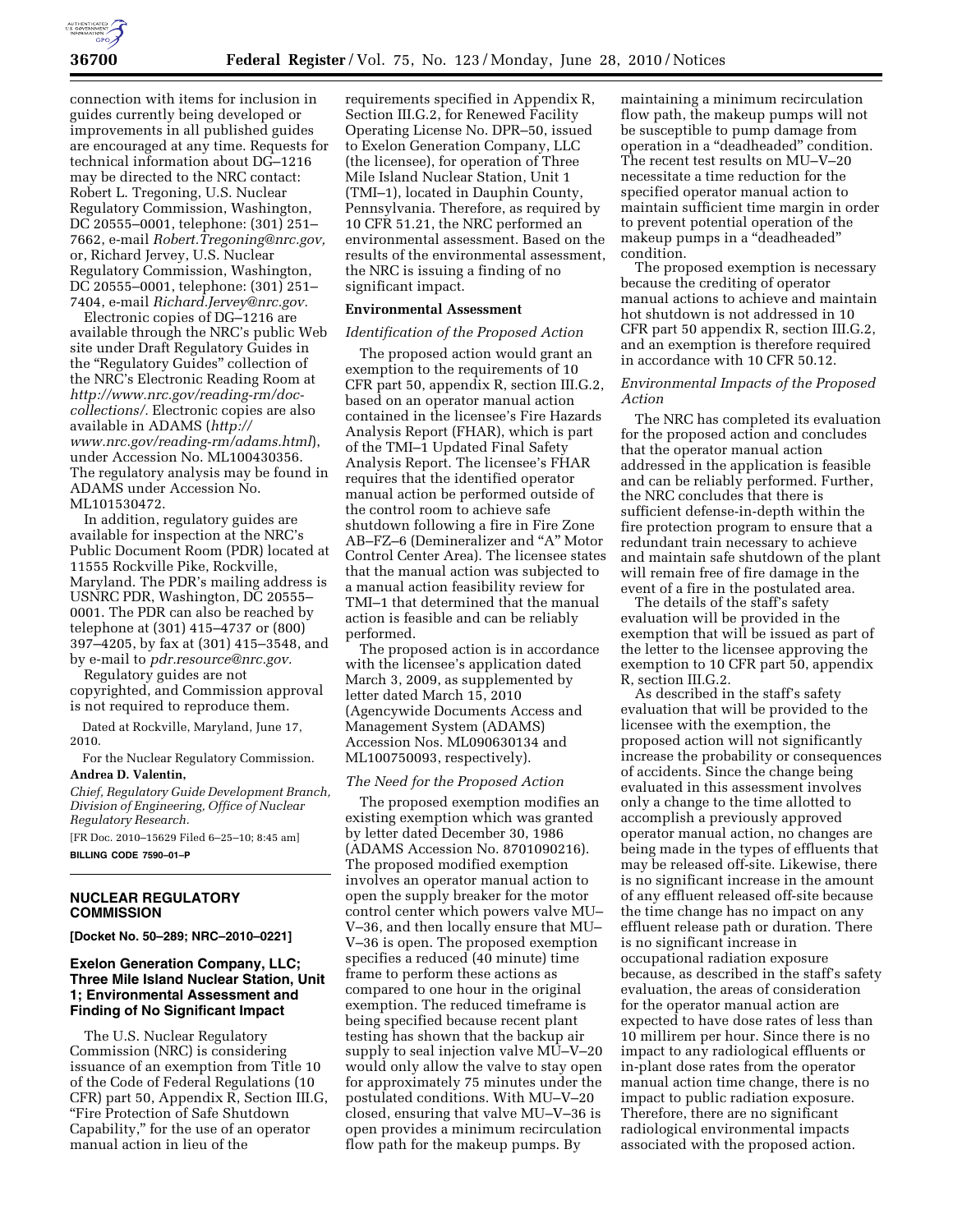

connection with items for inclusion in guides currently being developed or improvements in all published guides are encouraged at any time. Requests for technical information about DG–1216 may be directed to the NRC contact: Robert L. Tregoning, U.S. Nuclear Regulatory Commission, Washington, DC 20555–0001, telephone: (301) 251– 7662, e-mail *Robert.Tregoning@nrc.gov,*  or, Richard Jervey, U.S. Nuclear Regulatory Commission, Washington, DC 20555–0001, telephone: (301) 251– 7404, e-mail *Richard.Jervey@nrc.gov.* 

Electronic copies of DG–1216 are available through the NRC's public Web site under Draft Regulatory Guides in the ''Regulatory Guides'' collection of the NRC's Electronic Reading Room at *http://www.nrc.gov/reading-rm/doccollections/.* Electronic copies are also available in ADAMS (*http:// www.nrc.gov/reading-rm/adams.html*), under Accession No. ML100430356. The regulatory analysis may be found in ADAMS under Accession No. ML101530472.

In addition, regulatory guides are available for inspection at the NRC's Public Document Room (PDR) located at 11555 Rockville Pike, Rockville, Maryland. The PDR's mailing address is USNRC PDR, Washington, DC 20555– 0001. The PDR can also be reached by telephone at (301) 415–4737 or (800) 397–4205, by fax at (301) 415–3548, and by e-mail to *pdr.resource@nrc.gov.* 

Regulatory guides are not copyrighted, and Commission approval is not required to reproduce them.

Dated at Rockville, Maryland, June 17, 2010.

For the Nuclear Regulatory Commission.

### **Andrea D. Valentin,**

*Chief, Regulatory Guide Development Branch, Division of Engineering, Office of Nuclear Regulatory Research.* 

[FR Doc. 2010–15629 Filed 6–25–10; 8:45 am] **BILLING CODE 7590–01–P** 

# **NUCLEAR REGULATORY COMMISSION**

**[Docket No. 50–289; NRC–2010–0221]** 

## **Exelon Generation Company, LLC; Three Mile Island Nuclear Station, Unit 1; Environmental Assessment and Finding of No Significant Impact**

The U.S. Nuclear Regulatory Commission (NRC) is considering issuance of an exemption from Title 10 of the Code of Federal Regulations (10 CFR) part 50, Appendix R, Section III.G, ''Fire Protection of Safe Shutdown Capability,'' for the use of an operator manual action in lieu of the

requirements specified in Appendix R, Section III.G.2, for Renewed Facility Operating License No. DPR–50, issued to Exelon Generation Company, LLC (the licensee), for operation of Three Mile Island Nuclear Station, Unit 1 (TMI–1), located in Dauphin County, Pennsylvania. Therefore, as required by 10 CFR 51.21, the NRC performed an environmental assessment. Based on the results of the environmental assessment, the NRC is issuing a finding of no significant impact.

### **Environmental Assessment**

#### *Identification of the Proposed Action*

The proposed action would grant an exemption to the requirements of 10 CFR part 50, appendix R, section III.G.2, based on an operator manual action contained in the licensee's Fire Hazards Analysis Report (FHAR), which is part of the TMI–1 Updated Final Safety Analysis Report. The licensee's FHAR requires that the identified operator manual action be performed outside of the control room to achieve safe shutdown following a fire in Fire Zone AB–FZ–6 (Demineralizer and "A" Motor Control Center Area). The licensee states that the manual action was subjected to a manual action feasibility review for TMI–1 that determined that the manual action is feasible and can be reliably performed.

The proposed action is in accordance with the licensee's application dated March 3, 2009, as supplemented by letter dated March 15, 2010 (Agencywide Documents Access and Management System (ADAMS) Accession Nos. ML090630134 and ML100750093, respectively).

#### *The Need for the Proposed Action*

The proposed exemption modifies an existing exemption which was granted by letter dated December 30, 1986 (ADAMS Accession No. 8701090216). The proposed modified exemption involves an operator manual action to open the supply breaker for the motor control center which powers valve MU– V–36, and then locally ensure that MU– V–36 is open. The proposed exemption specifies a reduced (40 minute) time frame to perform these actions as compared to one hour in the original exemption. The reduced timeframe is being specified because recent plant testing has shown that the backup air supply to seal injection valve MU–V–20 would only allow the valve to stay open for approximately 75 minutes under the postulated conditions. With MU–V–20 closed, ensuring that valve MU–V–36 is open provides a minimum recirculation flow path for the makeup pumps. By

maintaining a minimum recirculation flow path, the makeup pumps will not be susceptible to pump damage from operation in a ''deadheaded'' condition. The recent test results on MU–V–20 necessitate a time reduction for the specified operator manual action to maintain sufficient time margin in order to prevent potential operation of the makeup pumps in a ''deadheaded'' condition.

The proposed exemption is necessary because the crediting of operator manual actions to achieve and maintain hot shutdown is not addressed in 10 CFR part 50 appendix R, section III.G.2, and an exemption is therefore required in accordance with 10 CFR 50.12.

### *Environmental Impacts of the Proposed Action*

The NRC has completed its evaluation for the proposed action and concludes that the operator manual action addressed in the application is feasible and can be reliably performed. Further, the NRC concludes that there is sufficient defense-in-depth within the fire protection program to ensure that a redundant train necessary to achieve and maintain safe shutdown of the plant will remain free of fire damage in the event of a fire in the postulated area.

The details of the staff's safety evaluation will be provided in the exemption that will be issued as part of the letter to the licensee approving the exemption to 10 CFR part 50, appendix R, section III.G.2.

As described in the staff's safety evaluation that will be provided to the licensee with the exemption, the proposed action will not significantly increase the probability or consequences of accidents. Since the change being evaluated in this assessment involves only a change to the time allotted to accomplish a previously approved operator manual action, no changes are being made in the types of effluents that may be released off-site. Likewise, there is no significant increase in the amount of any effluent released off-site because the time change has no impact on any effluent release path or duration. There is no significant increase in occupational radiation exposure because, as described in the staff's safety evaluation, the areas of consideration for the operator manual action are expected to have dose rates of less than 10 millirem per hour. Since there is no impact to any radiological effluents or in-plant dose rates from the operator manual action time change, there is no impact to public radiation exposure. Therefore, there are no significant radiological environmental impacts associated with the proposed action.